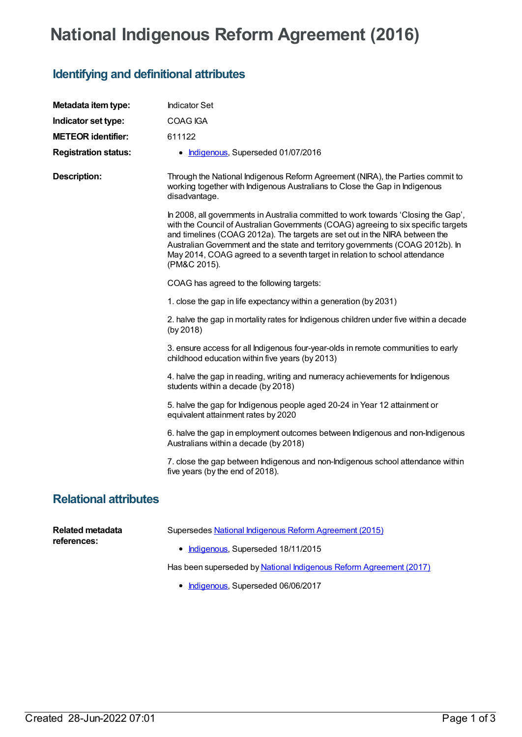## **National Indigenous Reform Agreement (2016)**

## **Identifying and definitional attributes**

| Metadata item type:          | <b>Indicator Set</b>                                                                                                                                                                                                                                                                                                                                                                                                                    |
|------------------------------|-----------------------------------------------------------------------------------------------------------------------------------------------------------------------------------------------------------------------------------------------------------------------------------------------------------------------------------------------------------------------------------------------------------------------------------------|
| Indicator set type:          | <b>COAG IGA</b>                                                                                                                                                                                                                                                                                                                                                                                                                         |
| <b>METEOR identifier:</b>    | 611122                                                                                                                                                                                                                                                                                                                                                                                                                                  |
| <b>Registration status:</b>  | • Indigenous, Superseded 01/07/2016                                                                                                                                                                                                                                                                                                                                                                                                     |
| <b>Description:</b>          | Through the National Indigenous Reform Agreement (NIRA), the Parties commit to<br>working together with Indigenous Australians to Close the Gap in Indigenous<br>disadvantage.                                                                                                                                                                                                                                                          |
|                              | In 2008, all governments in Australia committed to work towards 'Closing the Gap',<br>with the Council of Australian Governments (COAG) agreeing to six specific targets<br>and timelines (COAG 2012a). The targets are set out in the NIRA between the<br>Australian Government and the state and territory governments (COAG 2012b). In<br>May 2014, COAG agreed to a seventh target in relation to school attendance<br>(PM&C 2015). |
|                              | COAG has agreed to the following targets:                                                                                                                                                                                                                                                                                                                                                                                               |
|                              | 1. close the gap in life expectancy within a generation (by 2031)                                                                                                                                                                                                                                                                                                                                                                       |
|                              | 2. halve the gap in mortality rates for Indigenous children under five within a decade<br>(by 2018)                                                                                                                                                                                                                                                                                                                                     |
|                              | 3. ensure access for all Indigenous four-year-olds in remote communities to early<br>childhood education within five years (by 2013)                                                                                                                                                                                                                                                                                                    |
|                              | 4. halve the gap in reading, writing and numeracy achievements for Indigenous<br>students within a decade (by 2018)                                                                                                                                                                                                                                                                                                                     |
|                              | 5. halve the gap for Indigenous people aged 20-24 in Year 12 attainment or<br>equivalent attainment rates by 2020                                                                                                                                                                                                                                                                                                                       |
|                              | 6. halve the gap in employment outcomes between Indigenous and non-Indigenous<br>Australians within a decade (by 2018)                                                                                                                                                                                                                                                                                                                  |
|                              | 7. close the gap between Indigenous and non-Indigenous school attendance within<br>five years (by the end of 2018).                                                                                                                                                                                                                                                                                                                     |
| <b>Relational attributes</b> |                                                                                                                                                                                                                                                                                                                                                                                                                                         |

| Related metadata<br>references: | Supersedes National Indigenous Reform Agreement (2015)             |
|---------------------------------|--------------------------------------------------------------------|
|                                 | • Indigenous. Superseded 18/11/2015                                |
|                                 | Has been superseded by National Indigenous Reform Agreement (2017) |

• [Indigenous](https://meteor.aihw.gov.au/RegistrationAuthority/6), Superseded 06/06/2017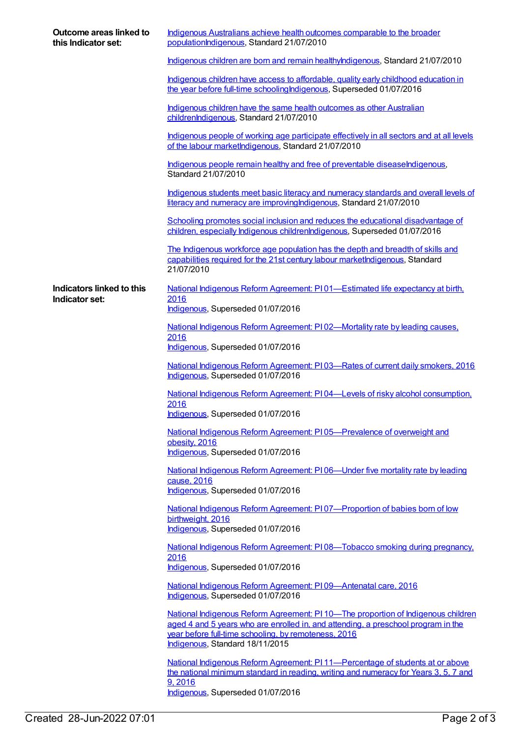| Outcome areas linked to<br>this Indicator set:     | Indigenous Australians achieve health outcomes comparable to the broader<br>populationIndigenous, Standard 21/07/2010                                                                                                          |
|----------------------------------------------------|--------------------------------------------------------------------------------------------------------------------------------------------------------------------------------------------------------------------------------|
|                                                    | Indigenous children are born and remain healthylndigenous, Standard 21/07/2010                                                                                                                                                 |
|                                                    | Indigenous children have access to affordable, quality early childhood education in<br>the year before full-time schooling Indigenous, Superseded 01/07/2016                                                                   |
|                                                    | Indigenous children have the same health outcomes as other Australian<br>childrenIndigenous, Standard 21/07/2010                                                                                                               |
|                                                    | Indigenous people of working age participate effectively in all sectors and at all levels<br>of the labour marketIndigenous, Standard 21/07/2010                                                                               |
|                                                    | Indigenous people remain healthy and free of preventable diseaseIndigenous,<br>Standard 21/07/2010                                                                                                                             |
|                                                    | Indigenous students meet basic literacy and numeracy standards and overall levels of<br>literacy and numeracy are improving Indigenous, Standard 21/07/2010                                                                    |
|                                                    | Schooling promotes social inclusion and reduces the educational disadvantage of<br>children, especially Indigenous childrenIndigenous, Superseded 01/07/2016                                                                   |
|                                                    | The Indigenous workforce age population has the depth and breadth of skills and<br>capabilities required for the 21st century labour marketIndigenous, Standard<br>21/07/2010                                                  |
| <b>Indicators linked to this</b><br>Indicator set: | National Indigenous Reform Agreement: P101—Estimated life expectancy at birth,<br>2016<br>Indigenous, Superseded 01/07/2016                                                                                                    |
|                                                    | National Indigenous Reform Agreement: PI02-Mortality rate by leading causes,                                                                                                                                                   |
|                                                    | 2016<br>Indigenous, Superseded 01/07/2016                                                                                                                                                                                      |
|                                                    | National Indigenous Reform Agreement: PI03-Rates of current daily smokers, 2016<br>Indigenous, Superseded 01/07/2016                                                                                                           |
|                                                    | National Indigenous Reform Agreement: P104—Levels of risky alcohol consumption,<br>2016                                                                                                                                        |
|                                                    | Indigenous, Superseded 01/07/2016                                                                                                                                                                                              |
|                                                    | National Indigenous Reform Agreement: P105-Prevalence of overweight and<br>obesity, 2016<br>Indigenous, Superseded 01/07/2016                                                                                                  |
|                                                    | National Indigenous Reform Agreement: PI06-Under five mortality rate by leading<br>cause, 2016<br>Indigenous, Superseded 01/07/2016                                                                                            |
|                                                    | National Indigenous Reform Agreement: PI07-Proportion of babies born of low<br>birthweight, 2016<br>Indigenous, Superseded 01/07/2016                                                                                          |
|                                                    | National Indigenous Reform Agreement: PI08—Tobacco smoking during pregnancy,<br>2016<br>Indigenous, Superseded 01/07/2016                                                                                                      |
|                                                    | National Indigenous Reform Agreement: PI09-Antenatal care, 2016<br>Indigenous, Superseded 01/07/2016                                                                                                                           |
|                                                    | National Indigenous Reform Agreement: PI 10—The proportion of Indigenous children<br>aged 4 and 5 years who are enrolled in, and attending, a preschool program in the<br>year before full-time schooling, by remoteness, 2016 |
|                                                    | Indigenous, Standard 18/11/2015                                                                                                                                                                                                |
|                                                    | National Indigenous Reform Agreement: PI 11—Percentage of students at or above<br>the national minimum standard in reading, writing and numeracy for Years 3, 5, 7 and<br>9,2016<br>$H = H = H = H \nabla H \nabla H \nabla H$ |